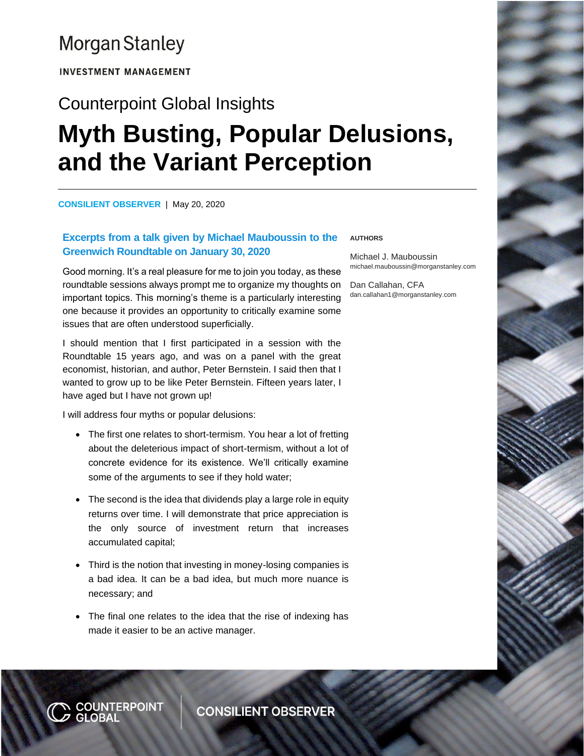## **Morgan Stanley**

**INVESTMENT MANAGEMENT** 

# Counterpoint Global Insights **Myth Busting, Popular Delusions, and the Variant Perception**

**How Dispersion Creates the Opportunity to Express Skill CONSILIENT OBSERVER** | May 20, 2020

### **Excerpts from a talk given by Michael Mauboussin to the Greenwich Roundtable on January 30, 2020**

Good morning. It's a real pleasure for me to join you today, as these roundtable sessions always prompt me to organize my thoughts on important topics. This morning's theme is a particularly interesting one because it provides an opportunity to critically examine some issues that are often understood superficially.

I should mention that I first participated in a session with the Roundtable 15 years ago, and was on a panel with the great economist, historian, and author, Peter Bernstein. I said then that I wanted to grow up to be like Peter Bernstein. Fifteen years later, I have aged but I have not grown up!

I will address four myths or popular delusions:

N <mark>COUNTERPOINT</mark><br>7 GLOBAL

- The first one relates to short-termism. You hear a lot of fretting about the deleterious impact of short-termism, without a lot of concrete evidence for its existence. We'll critically examine some of the arguments to see if they hold water;
- The second is the idea that dividends play a large role in equity returns over time. I will demonstrate that price appreciation is the only source of investment return that increases accumulated capital;
- Third is the notion that investing in money-losing companies is a bad idea. It can be a bad idea, but much more nuance is necessary; and
- The final one relates to the idea that the rise of indexing has made it easier to be an active manager.

**AUTHORS**

Michael J. Mauboussin michael.mauboussin@morganstanley.com

Dan Callahan, CFA dan.callahan1@morganstanley.com

**CONSILIENT OBSERVER**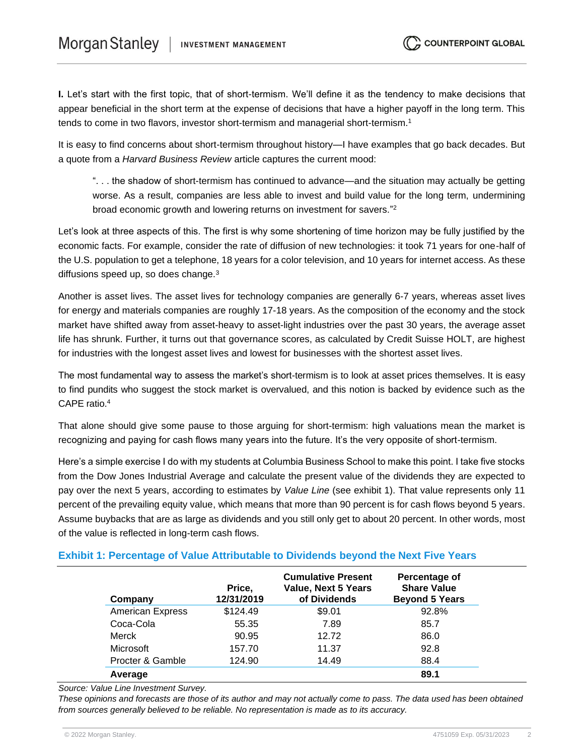**I.** Let's start with the first topic, that of short-termism. We'll define it as the tendency to make decisions that appear beneficial in the short term at the expense of decisions that have a higher payoff in the long term. This tends to come in two flavors, investor short-termism and managerial short-termism.<sup>1</sup>

It is easy to find concerns about short-termism throughout history—I have examples that go back decades. But a quote from a *Harvard Business Review* article captures the current mood:

". . . the shadow of short-termism has continued to advance—and the situation may actually be getting worse. As a result, companies are less able to invest and build value for the long term, undermining broad economic growth and lowering returns on investment for savers."<sup>2</sup>

Let's look at three aspects of this. The first is why some shortening of time horizon may be fully justified by the economic facts. For example, consider the rate of diffusion of new technologies: it took 71 years for one-half of the U.S. population to get a telephone, 18 years for a color television, and 10 years for internet access. As these diffusions speed up, so does change.<sup>3</sup>

Another is asset lives. The asset lives for technology companies are generally 6-7 years, whereas asset lives for energy and materials companies are roughly 17-18 years. As the composition of the economy and the stock market have shifted away from asset-heavy to asset-light industries over the past 30 years, the average asset life has shrunk. Further, it turns out that governance scores, as calculated by Credit Suisse HOLT, are highest for industries with the longest asset lives and lowest for businesses with the shortest asset lives.

The most fundamental way to assess the market's short-termism is to look at asset prices themselves. It is easy to find pundits who suggest the stock market is overvalued, and this notion is backed by evidence such as the CAPE ratio.<sup>4</sup>

That alone should give some pause to those arguing for short-termism: high valuations mean the market is recognizing and paying for cash flows many years into the future. It's the very opposite of short-termism.

Here's a simple exercise I do with my students at Columbia Business School to make this point. I take five stocks from the Dow Jones Industrial Average and calculate the present value of the dividends they are expected to pay over the next 5 years, according to estimates by *Value Line* (see exhibit 1). That value represents only 11 percent of the prevailing equity value, which means that more than 90 percent is for cash flows beyond 5 years. Assume buybacks that are as large as dividends and you still only get to about 20 percent. In other words, most of the value is reflected in long-term cash flows.

#### **Exhibit 1: Percentage of Value Attributable to Dividends beyond the Next Five Years**

| Company                 | Price,<br>12/31/2019 | <b>Cumulative Present</b><br><b>Value, Next 5 Years</b><br>of Dividends | Percentage of<br><b>Share Value</b><br><b>Beyond 5 Years</b> |
|-------------------------|----------------------|-------------------------------------------------------------------------|--------------------------------------------------------------|
| <b>American Express</b> | \$124.49             | \$9.01                                                                  | 92.8%                                                        |
| Coca-Cola               | 55.35                | 7.89                                                                    | 85.7                                                         |
| Merck                   | 90.95                | 12.72                                                                   | 86.0                                                         |
| <b>Microsoft</b>        | 157.70               | 11.37                                                                   | 92.8                                                         |
| Procter & Gamble        | 124.90               | 14.49                                                                   | 88.4                                                         |
| Average                 |                      |                                                                         | 89.1                                                         |

*Source: Value Line Investment Survey.*

*These opinions and forecasts are those of its author and may not actually come to pass. The data used has been obtained from sources generally believed to be reliable. No representation is made as to its accuracy.*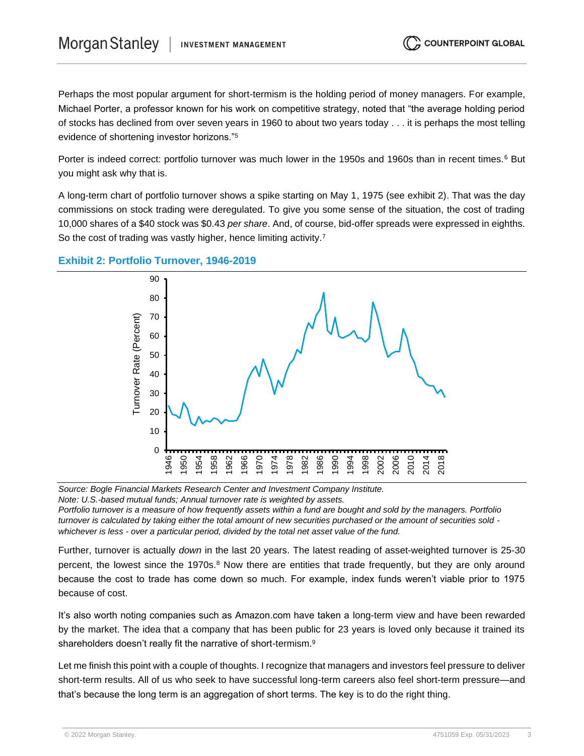Perhaps the most popular argument for short-termism is the holding period of money managers. For example, Michael Porter, a professor known for his work on competitive strategy, noted that "the average holding period of stocks has declined from over seven years in 1960 to about two years today . . . it is perhaps the most telling evidence of shortening investor horizons."<sup>5</sup>

Porter is indeed correct: portfolio turnover was much lower in the 1950s and 1960s than in recent times.<sup>6</sup> But you might ask why that is.

A long-term chart of portfolio turnover shows a spike starting on May 1, 1975 (see exhibit 2). That was the day commissions on stock trading were deregulated. To give you some sense of the situation, the cost of trading 10,000 shares of a \$40 stock was \$0.43 *per share*. And, of course, bid-offer spreads were expressed in eighths. So the cost of trading was vastly higher, hence limiting activity.<sup>7</sup>



#### **Exhibit 2: Portfolio Turnover, 1946-2019**

*Source: Bogle Financial Markets Research Center and Investment Company Institute. Note: U.S.-based mutual funds; Annual turnover rate is weighted by assets.*

*Portfolio turnover is a measure of how frequently assets within a fund are bought and sold by the managers. Portfolio turnover is calculated by taking either the total amount of new securities purchased or the amount of securities sold whichever is less - over a particular period, divided by the total net asset value of the fund.*

Further, turnover is actually *down* in the last 20 years. The latest reading of asset-weighted turnover is 25-30 percent, the lowest since the 1970s.<sup>8</sup> Now there are entities that trade frequently, but they are only around because the cost to trade has come down so much. For example, index funds weren't viable prior to 1975 because of cost.

It's also worth noting companies such as Amazon.com have taken a long-term view and have been rewarded by the market. The idea that a company that has been public for 23 years is loved only because it trained its shareholders doesn't really fit the narrative of short-termism.<sup>9</sup>

Let me finish this point with a couple of thoughts. I recognize that managers and investors feel pressure to deliver short-term results. All of us who seek to have successful long-term careers also feel short-term pressure—and that's because the long term is an aggregation of short terms. The key is to do the right thing.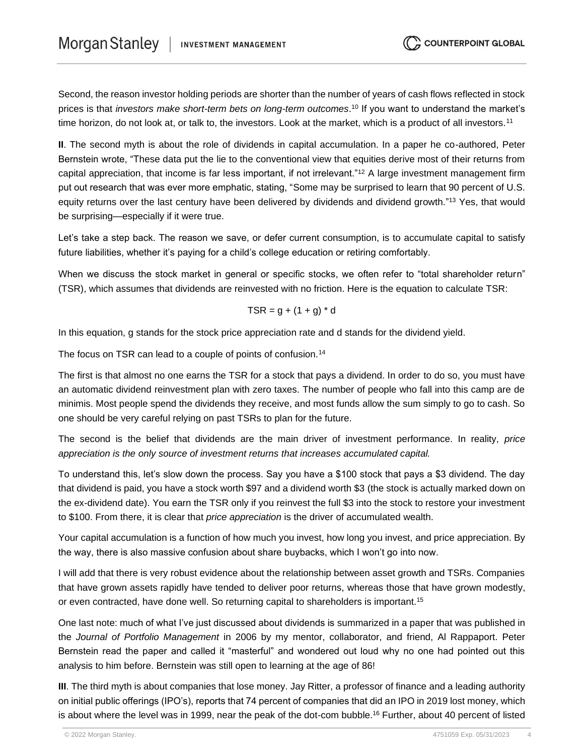Second, the reason investor holding periods are shorter than the number of years of cash flows reflected in stock prices is that *investors make short-term bets on long-term outcomes*. <sup>10</sup> If you want to understand the market's time horizon, do not look at, or talk to, the investors. Look at the market, which is a product of all investors.<sup>11</sup>

**II**. The second myth is about the role of dividends in capital accumulation. In a paper he co-authored, Peter Bernstein wrote, "These data put the lie to the conventional view that equities derive most of their returns from capital appreciation, that income is far less important, if not irrelevant."<sup>12</sup> A large investment management firm put out research that was ever more emphatic, stating, "Some may be surprised to learn that 90 percent of U.S. equity returns over the last century have been delivered by dividends and dividend growth."<sup>13</sup> Yes, that would be surprising—especially if it were true.

Let's take a step back. The reason we save, or defer current consumption, is to accumulate capital to satisfy future liabilities, whether it's paying for a child's college education or retiring comfortably.

When we discuss the stock market in general or specific stocks, we often refer to "total shareholder return" (TSR), which assumes that dividends are reinvested with no friction. Here is the equation to calculate TSR:

$$
TSR = g + (1 + g) * d
$$

In this equation, g stands for the stock price appreciation rate and d stands for the dividend yield.

The focus on TSR can lead to a couple of points of confusion.<sup>14</sup>

The first is that almost no one earns the TSR for a stock that pays a dividend. In order to do so, you must have an automatic dividend reinvestment plan with zero taxes. The number of people who fall into this camp are de minimis. Most people spend the dividends they receive, and most funds allow the sum simply to go to cash. So one should be very careful relying on past TSRs to plan for the future.

The second is the belief that dividends are the main driver of investment performance. In reality, *price appreciation is the only source of investment returns that increases accumulated capital.*

To understand this, let's slow down the process. Say you have a \$100 stock that pays a \$3 dividend. The day that dividend is paid, you have a stock worth \$97 and a dividend worth \$3 (the stock is actually marked down on the ex-dividend date). You earn the TSR only if you reinvest the full \$3 into the stock to restore your investment to \$100. From there, it is clear that *price appreciation* is the driver of accumulated wealth.

Your capital accumulation is a function of how much you invest, how long you invest, and price appreciation. By the way, there is also massive confusion about share buybacks, which I won't go into now.

I will add that there is very robust evidence about the relationship between asset growth and TSRs. Companies that have grown assets rapidly have tended to deliver poor returns, whereas those that have grown modestly, or even contracted, have done well. So returning capital to shareholders is important.<sup>15</sup>

One last note: much of what I've just discussed about dividends is summarized in a paper that was published in the *Journal of Portfolio Management* in 2006 by my mentor, collaborator, and friend, Al Rappaport. Peter Bernstein read the paper and called it "masterful" and wondered out loud why no one had pointed out this analysis to him before. Bernstein was still open to learning at the age of 86!

**III**. The third myth is about companies that lose money. Jay Ritter, a professor of finance and a leading authority on initial public offerings (IPO's), reports that 74 percent of companies that did an IPO in 2019 lost money, which is about where the level was in 1999, near the peak of the dot-com bubble.<sup>16</sup> Further, about 40 percent of listed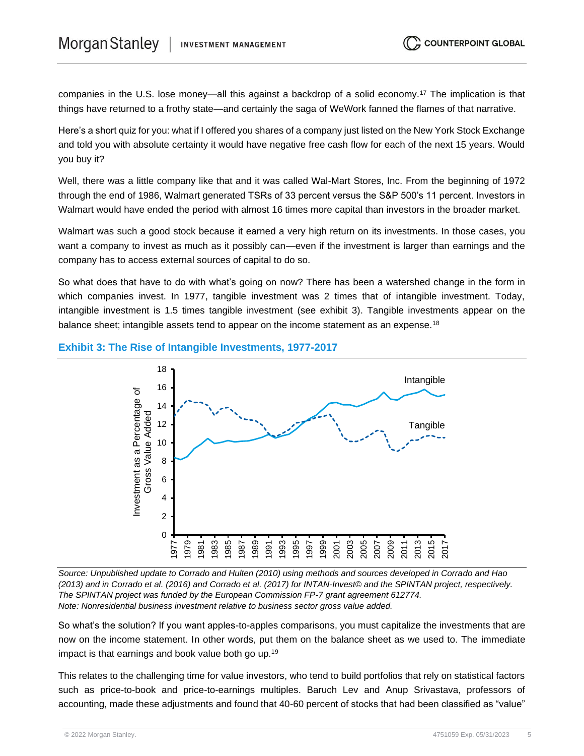companies in the U.S. lose money—all this against a backdrop of a solid economy.<sup>17</sup> The implication is that things have returned to a frothy state—and certainly the saga of WeWork fanned the flames of that narrative.

Here's a short quiz for you: what if I offered you shares of a company just listed on the New York Stock Exchange and told you with absolute certainty it would have negative free cash flow for each of the next 15 years. Would you buy it?

Well, there was a little company like that and it was called Wal-Mart Stores, Inc. From the beginning of 1972 through the end of 1986, Walmart generated TSRs of 33 percent versus the S&P 500's 11 percent. Investors in Walmart would have ended the period with almost 16 times more capital than investors in the broader market.

Walmart was such a good stock because it earned a very high return on its investments. In those cases, you want a company to invest as much as it possibly can—even if the investment is larger than earnings and the company has to access external sources of capital to do so.

So what does that have to do with what's going on now? There has been a watershed change in the form in which companies invest. In 1977, tangible investment was 2 times that of intangible investment. Today, intangible investment is 1.5 times tangible investment (see exhibit 3). Tangible investments appear on the balance sheet; intangible assets tend to appear on the income statement as an expense.<sup>18</sup>

#### **Exhibit 3: The Rise of Intangible Investments, 1977-2017**



*Source: Unpublished update to Corrado and Hulten (2010) using methods and sources developed in Corrado and Hao (2013) and in Corrado et al. (2016) and Corrado et al. (2017) for INTAN-Invest© and the SPINTAN project, respectively. The SPINTAN project was funded by the European Commission FP-7 grant agreement 612774. Note: Nonresidential business investment relative to business sector gross value added.*

So what's the solution? If you want apples-to-apples comparisons, you must capitalize the investments that are now on the income statement. In other words, put them on the balance sheet as we used to. The immediate impact is that earnings and book value both go up.<sup>19</sup>

This relates to the challenging time for value investors, who tend to build portfolios that rely on statistical factors such as price-to-book and price-to-earnings multiples. Baruch Lev and Anup Srivastava, professors of accounting, made these adjustments and found that 40-60 percent of stocks that had been classified as "value"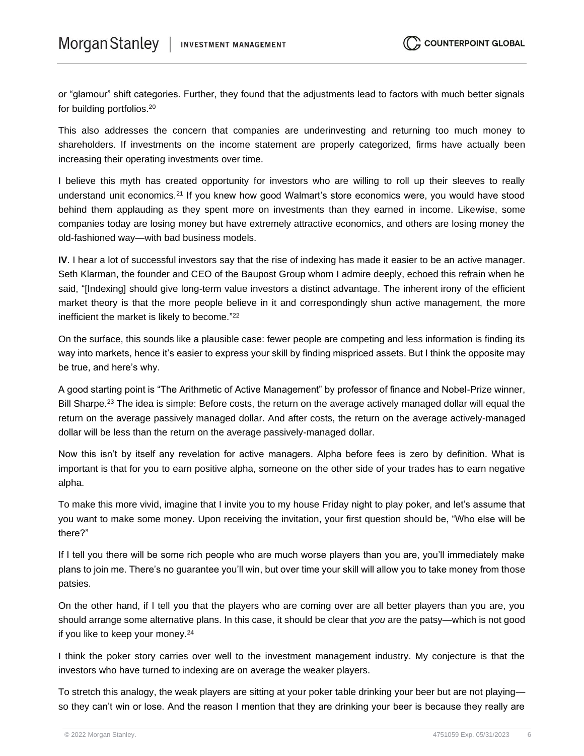or "glamour" shift categories. Further, they found that the adjustments lead to factors with much better signals for building portfolios.<sup>20</sup>

This also addresses the concern that companies are underinvesting and returning too much money to shareholders. If investments on the income statement are properly categorized, firms have actually been increasing their operating investments over time.

I believe this myth has created opportunity for investors who are willing to roll up their sleeves to really understand unit economics.<sup>21</sup> If you knew how good Walmart's store economics were, you would have stood behind them applauding as they spent more on investments than they earned in income. Likewise, some companies today are losing money but have extremely attractive economics, and others are losing money the old-fashioned way—with bad business models.

**IV**. I hear a lot of successful investors say that the rise of indexing has made it easier to be an active manager. Seth Klarman, the founder and CEO of the Baupost Group whom I admire deeply, echoed this refrain when he said, "[Indexing] should give long-term value investors a distinct advantage. The inherent irony of the efficient market theory is that the more people believe in it and correspondingly shun active management, the more inefficient the market is likely to become." 22

On the surface, this sounds like a plausible case: fewer people are competing and less information is finding its way into markets, hence it's easier to express your skill by finding mispriced assets. But I think the opposite may be true, and here's why.

A good starting point is "The Arithmetic of Active Management" by professor of finance and Nobel-Prize winner, Bill Sharpe.<sup>23</sup> The idea is simple: Before costs, the return on the average actively managed dollar will equal the return on the average passively managed dollar. And after costs, the return on the average actively-managed dollar will be less than the return on the average passively-managed dollar.

Now this isn't by itself any revelation for active managers. Alpha before fees is zero by definition. What is important is that for you to earn positive alpha, someone on the other side of your trades has to earn negative alpha.

To make this more vivid, imagine that I invite you to my house Friday night to play poker, and let's assume that you want to make some money. Upon receiving the invitation, your first question should be, "Who else will be there?"

If I tell you there will be some rich people who are much worse players than you are, you'll immediately make plans to join me. There's no guarantee you'll win, but over time your skill will allow you to take money from those patsies.

On the other hand, if I tell you that the players who are coming over are all better players than you are, you should arrange some alternative plans. In this case, it should be clear that *you* are the patsy—which is not good if you like to keep your money.<sup>24</sup>

I think the poker story carries over well to the investment management industry. My conjecture is that the investors who have turned to indexing are on average the weaker players.

To stretch this analogy, the weak players are sitting at your poker table drinking your beer but are not playing so they can't win or lose. And the reason I mention that they are drinking your beer is because they really are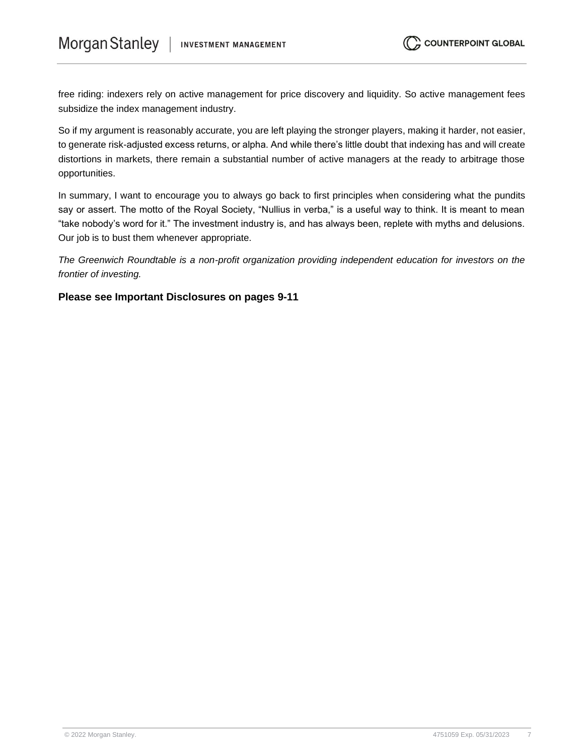free riding: indexers rely on active management for price discovery and liquidity. So active management fees subsidize the index management industry.

So if my argument is reasonably accurate, you are left playing the stronger players, making it harder, not easier, to generate risk-adjusted excess returns, or alpha. And while there's little doubt that indexing has and will create distortions in markets, there remain a substantial number of active managers at the ready to arbitrage those opportunities.

In summary, I want to encourage you to always go back to first principles when considering what the pundits say or assert. The motto of the Royal Society, "Nullius in verba," is a useful way to think. It is meant to mean "take nobody's word for it." The investment industry is, and has always been, replete with myths and delusions. Our job is to bust them whenever appropriate.

*The Greenwich Roundtable is a non-profit organization providing independent education for investors on the frontier of investing.*

#### **Please see Important Disclosures on pages 9-11**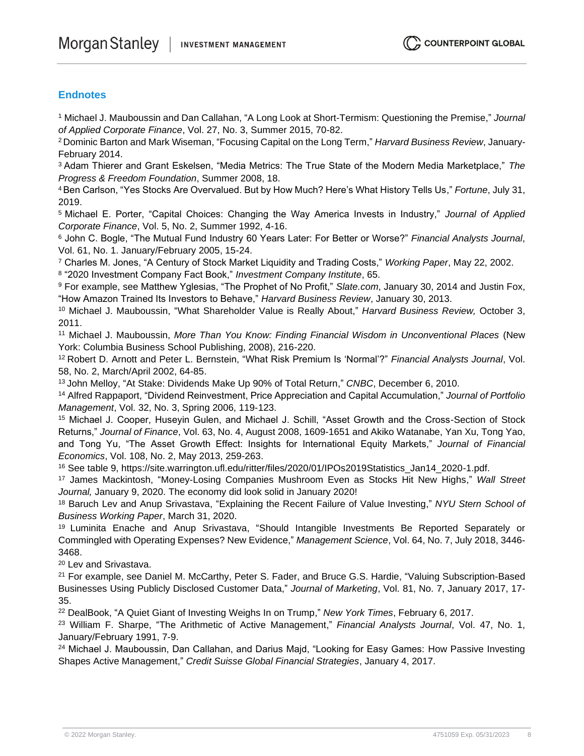#### **Endnotes**

<sup>1</sup> Michael J. Mauboussin and Dan Callahan, "A Long Look at Short-Termism: Questioning the Premise," *Journal of Applied Corporate Finance*, Vol. 27, No. 3, Summer 2015, 70-82.

<sup>2</sup>Dominic Barton and Mark Wiseman, "Focusing Capital on the Long Term," *Harvard Business Review*, January-February 2014.

<sup>3</sup>Adam Thierer and Grant Eskelsen, "Media Metrics: The True State of the Modern Media Marketplace," *The Progress & Freedom Foundation*, Summer 2008, 18.

<sup>4</sup>Ben Carlson, "Yes Stocks Are Overvalued. But by How Much? Here's What History Tells Us," *Fortune*, July 31, 2019.

<sup>5</sup>Michael E. Porter, "Capital Choices: Changing the Way America Invests in Industry," *Journal of Applied Corporate Finance*, Vol. 5, No. 2, Summer 1992, 4-16.

<sup>6</sup> John C. Bogle, "The Mutual Fund Industry 60 Years Later: For Better or Worse?" *Financial Analysts Journal*, Vol. 61, No. 1. January/February 2005, 15-24.

<sup>7</sup> Charles M. Jones, "A Century of Stock Market Liquidity and Trading Costs," *Working Paper*, May 22, 2002.

8 "2020 Investment Company Fact Book," *Investment Company Institute*, 65.

<sup>9</sup> For example, see Matthew Yglesias, "The Prophet of No Profit," *Slate.com*, January 30, 2014 and Justin Fox, "How Amazon Trained Its Investors to Behave," *Harvard Business Review*, January 30, 2013.

<sup>10</sup> Michael J. Mauboussin, "What Shareholder Value is Really About," *Harvard Business Review,* October 3, 2011.

<sup>11</sup> Michael J. Mauboussin, *More Than You Know: Finding Financial Wisdom in Unconventional Places* (New York: Columbia Business School Publishing, 2008), 216-220.

<sup>12</sup>Robert D. Arnott and Peter L. Bernstein, "What Risk Premium Is 'Normal'?" *Financial Analysts Journal*, Vol. 58, No. 2, March/April 2002, 64-85.

<sup>13</sup>John Melloy, "At Stake: Dividends Make Up 90% of Total Return," *CNBC*, December 6, 2010.

<sup>14</sup> Alfred Rappaport, "Dividend Reinvestment, Price Appreciation and Capital Accumulation," *Journal of Portfolio Management*, Vol. 32, No. 3, Spring 2006, 119-123.

<sup>15</sup> Michael J. Cooper, Huseyin Gulen, and Michael J. Schill, "Asset Growth and the Cross-Section of Stock Returns," *Journal of Finance*, Vol. 63, No. 4, August 2008, 1609-1651 and Akiko Watanabe, Yan Xu, Tong Yao, and Tong Yu, "The Asset Growth Effect: Insights for International Equity Markets," *Journal of Financial Economics*, Vol. 108, No. 2, May 2013, 259-263.

<sup>16</sup> See table 9, https://site.warrington.ufl.edu/ritter/files/2020/01/IPOs2019Statistics\_Jan14\_2020-1.pdf.

<sup>17</sup> James Mackintosh, "Money-Losing Companies Mushroom Even as Stocks Hit New Highs," *Wall Street Journal,* January 9, 2020. The economy did look solid in January 2020!

<sup>18</sup> Baruch Lev and Anup Srivastava, "Explaining the Recent Failure of Value Investing," *NYU Stern School of Business Working Paper*, March 31, 2020.

<sup>19</sup> Luminita Enache and Anup Srivastava, "Should Intangible Investments Be Reported Separately or Commingled with Operating Expenses? New Evidence," *Management Science*, Vol. 64, No. 7, July 2018, 3446- 3468.

<sup>20</sup> Lev and Srivastava.

<sup>21</sup> For example, see Daniel M. McCarthy, Peter S. Fader, and Bruce G.S. Hardie, "Valuing Subscription-Based Businesses Using Publicly Disclosed Customer Data," *Journal of Marketing*, Vol. 81, No. 7, January 2017, 17- 35.

<sup>22</sup> DealBook, "A Quiet Giant of Investing Weighs In on Trump," *New York Times*, February 6, 2017.

<sup>23</sup> William F. Sharpe, "The Arithmetic of Active Management," *Financial Analysts Journal*, Vol. 47, No. 1, January/February 1991, 7-9.

<sup>24</sup> Michael J. Mauboussin, Dan Callahan, and Darius Majd, "Looking for Easy Games: How Passive Investing Shapes Active Management," *Credit Suisse Global Financial Strategies*, January 4, 2017.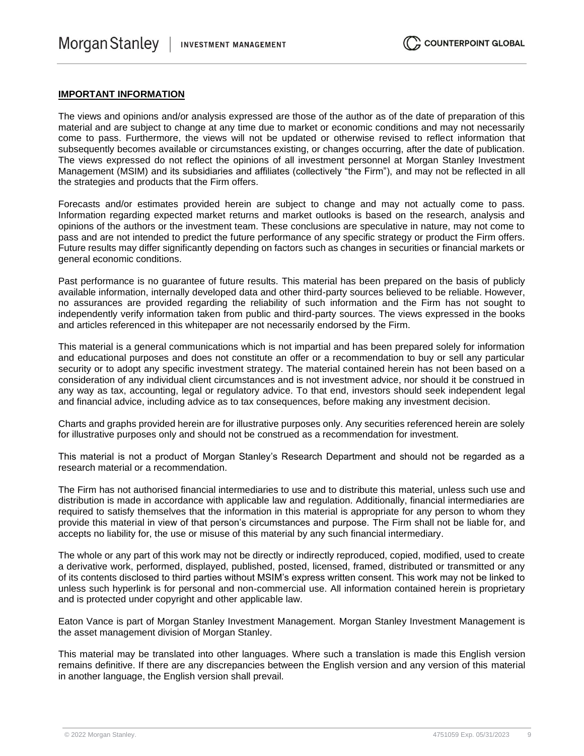#### **IMPORTANT INFORMATION**

The views and opinions and/or analysis expressed are those of the author as of the date of preparation of this material and are subject to change at any time due to market or economic conditions and may not necessarily come to pass. Furthermore, the views will not be updated or otherwise revised to reflect information that subsequently becomes available or circumstances existing, or changes occurring, after the date of publication. The views expressed do not reflect the opinions of all investment personnel at Morgan Stanley Investment Management (MSIM) and its subsidiaries and affiliates (collectively "the Firm"), and may not be reflected in all the strategies and products that the Firm offers.

Forecasts and/or estimates provided herein are subject to change and may not actually come to pass. Information regarding expected market returns and market outlooks is based on the research, analysis and opinions of the authors or the investment team. These conclusions are speculative in nature, may not come to pass and are not intended to predict the future performance of any specific strategy or product the Firm offers. Future results may differ significantly depending on factors such as changes in securities or financial markets or general economic conditions.

Past performance is no guarantee of future results. This material has been prepared on the basis of publicly available information, internally developed data and other third-party sources believed to be reliable. However, no assurances are provided regarding the reliability of such information and the Firm has not sought to independently verify information taken from public and third-party sources. The views expressed in the books and articles referenced in this whitepaper are not necessarily endorsed by the Firm.

This material is a general communications which is not impartial and has been prepared solely for information and educational purposes and does not constitute an offer or a recommendation to buy or sell any particular security or to adopt any specific investment strategy. The material contained herein has not been based on a consideration of any individual client circumstances and is not investment advice, nor should it be construed in any way as tax, accounting, legal or regulatory advice. To that end, investors should seek independent legal and financial advice, including advice as to tax consequences, before making any investment decision.

Charts and graphs provided herein are for illustrative purposes only. Any securities referenced herein are solely for illustrative purposes only and should not be construed as a recommendation for investment.

This material is not a product of Morgan Stanley's Research Department and should not be regarded as a research material or a recommendation.

The Firm has not authorised financial intermediaries to use and to distribute this material, unless such use and distribution is made in accordance with applicable law and regulation. Additionally, financial intermediaries are required to satisfy themselves that the information in this material is appropriate for any person to whom they provide this material in view of that person's circumstances and purpose. The Firm shall not be liable for, and accepts no liability for, the use or misuse of this material by any such financial intermediary.

The whole or any part of this work may not be directly or indirectly reproduced, copied, modified, used to create a derivative work, performed, displayed, published, posted, licensed, framed, distributed or transmitted or any of its contents disclosed to third parties without MSIM's express written consent. This work may not be linked to unless such hyperlink is for personal and non-commercial use. All information contained herein is proprietary and is protected under copyright and other applicable law.

Eaton Vance is part of Morgan Stanley Investment Management. Morgan Stanley Investment Management is the asset management division of Morgan Stanley.

This material may be translated into other languages. Where such a translation is made this English version remains definitive. If there are any discrepancies between the English version and any version of this material in another language, the English version shall prevail.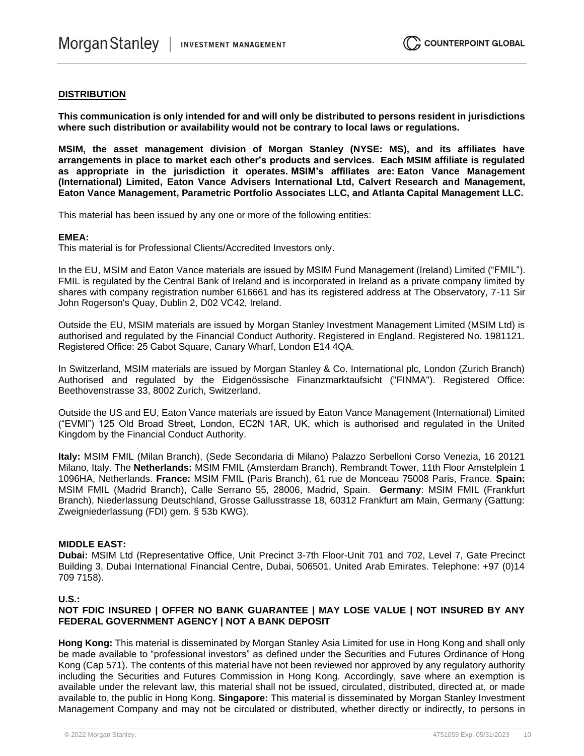#### **DISTRIBUTION**

**This communication is only intended for and will only be distributed to persons resident in jurisdictions where such distribution or availability would not be contrary to local laws or regulations.**

**MSIM, the asset management division of Morgan Stanley (NYSE: MS), and its affiliates have arrangements in place to market each other's products and services. Each MSIM affiliate is regulated as appropriate in the jurisdiction it operates. MSIM's affiliates are: Eaton Vance Management (International) Limited, Eaton Vance Advisers International Ltd, Calvert Research and Management, Eaton Vance Management, Parametric Portfolio Associates LLC, and Atlanta Capital Management LLC.**

This material has been issued by any one or more of the following entities:

#### **EMEA:**

This material is for Professional Clients/Accredited Investors only.

In the EU, MSIM and Eaton Vance materials are issued by MSIM Fund Management (Ireland) Limited ("FMIL"). FMIL is regulated by the Central Bank of Ireland and is incorporated in Ireland as a private company limited by shares with company registration number 616661 and has its registered address at The Observatory, 7-11 Sir John Rogerson's Quay, Dublin 2, D02 VC42, Ireland.

Outside the EU, MSIM materials are issued by Morgan Stanley Investment Management Limited (MSIM Ltd) is authorised and regulated by the Financial Conduct Authority. Registered in England. Registered No. 1981121. Registered Office: 25 Cabot Square, Canary Wharf, London E14 4QA.

In Switzerland, MSIM materials are issued by Morgan Stanley & Co. International plc, London (Zurich Branch) Authorised and regulated by the Eidgenössische Finanzmarktaufsicht ("FINMA"). Registered Office: Beethovenstrasse 33, 8002 Zurich, Switzerland.

Outside the US and EU, Eaton Vance materials are issued by Eaton Vance Management (International) Limited ("EVMI") 125 Old Broad Street, London, EC2N 1AR, UK, which is authorised and regulated in the United Kingdom by the Financial Conduct Authority.

**Italy:** MSIM FMIL (Milan Branch), (Sede Secondaria di Milano) Palazzo Serbelloni Corso Venezia, 16 20121 Milano, Italy. The **Netherlands:** MSIM FMIL (Amsterdam Branch), Rembrandt Tower, 11th Floor Amstelplein 1 1096HA, Netherlands. **France:** MSIM FMIL (Paris Branch), 61 rue de Monceau 75008 Paris, France. **Spain:**  MSIM FMIL (Madrid Branch), Calle Serrano 55, 28006, Madrid, Spain. **Germany**: MSIM FMIL (Frankfurt Branch), Niederlassung Deutschland, Grosse Gallusstrasse 18, 60312 Frankfurt am Main, Germany (Gattung: Zweigniederlassung (FDI) gem. § 53b KWG).

#### **MIDDLE EAST:**

**Dubai:** MSIM Ltd (Representative Office, Unit Precinct 3-7th Floor-Unit 701 and 702, Level 7, Gate Precinct Building 3, Dubai International Financial Centre, Dubai, 506501, United Arab Emirates. Telephone: +97 (0)14 709 7158).

#### **U.S.:**

#### **NOT FDIC INSURED | OFFER NO BANK GUARANTEE | MAY LOSE VALUE | NOT INSURED BY ANY FEDERAL GOVERNMENT AGENCY | NOT A BANK DEPOSIT**

**Hong Kong:** This material is disseminated by Morgan Stanley Asia Limited for use in Hong Kong and shall only be made available to "professional investors" as defined under the Securities and Futures Ordinance of Hong Kong (Cap 571). The contents of this material have not been reviewed nor approved by any regulatory authority including the Securities and Futures Commission in Hong Kong. Accordingly, save where an exemption is available under the relevant law, this material shall not be issued, circulated, distributed, directed at, or made available to, the public in Hong Kong. **Singapore:** This material is disseminated by Morgan Stanley Investment Management Company and may not be circulated or distributed, whether directly or indirectly, to persons in